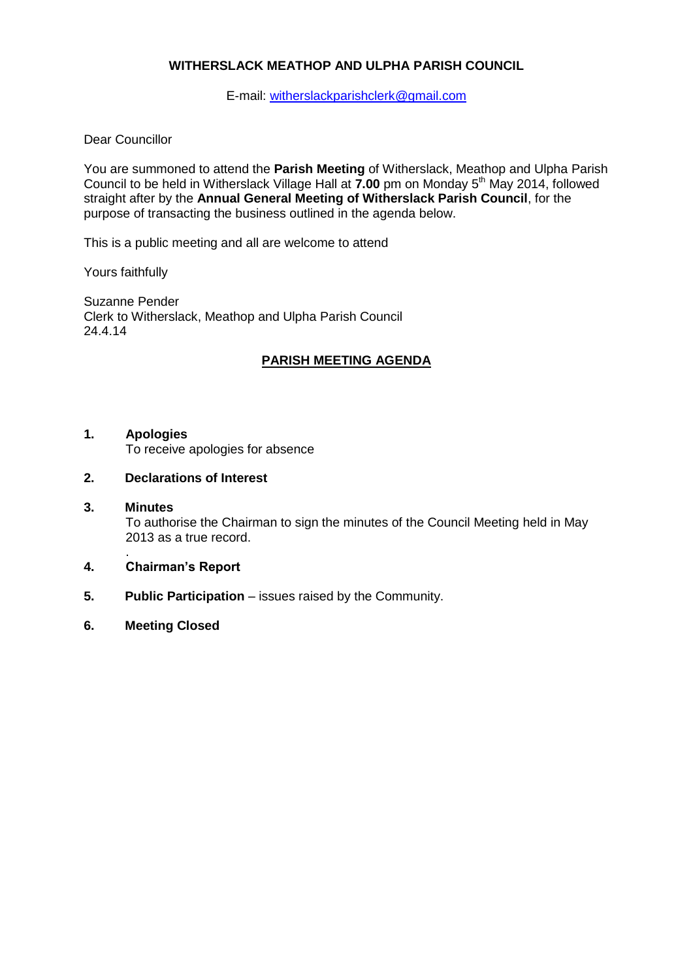# **WITHERSLACK MEATHOP AND ULPHA PARISH COUNCIL**

E-mail: [witherslackparishclerk@gmail.com](mailto:witherslackparishclerk@gmail.com)

# Dear Councillor

You are summoned to attend the **Parish Meeting** of Witherslack, Meathop and Ulpha Parish Council to be held in Witherslack Village Hall at 7.00 pm on Monday 5<sup>th</sup> May 2014, followed straight after by the **Annual General Meeting of Witherslack Parish Council**, for the purpose of transacting the business outlined in the agenda below.

This is a public meeting and all are welcome to attend

Yours faithfully

Suzanne Pender Clerk to Witherslack, Meathop and Ulpha Parish Council 24.4.14

# **PARISH MEETING AGENDA**

## **1. Apologies**

To receive apologies for absence

- **2. Declarations of Interest**
- **3. Minutes** To authorise the Chairman to sign the minutes of the Council Meeting held in May 2013 as a true record.
- . **4. Chairman's Report**
- **5.** Public Participation issues raised by the Community.
- **6. Meeting Closed**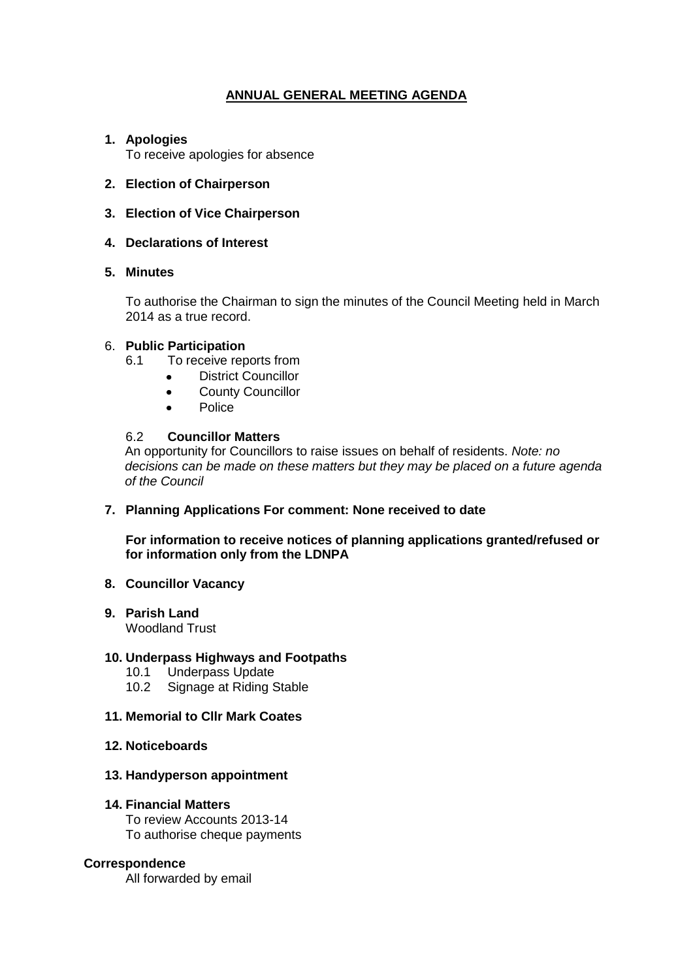# **ANNUAL GENERAL MEETING AGENDA**

# **1. Apologies**

To receive apologies for absence

# **2. Election of Chairperson**

**3. Election of Vice Chairperson**

# **4. Declarations of Interest**

## **5. Minutes**

To authorise the Chairman to sign the minutes of the Council Meeting held in March 2014 as a true record.

## 6. **Public Participation**

- 6.1 To receive reports from
	- District Councillor
	- County Councillor  $\bullet$
	- Police  $\bullet$

## 6.2 **Councillor Matters**

An opportunity for Councillors to raise issues on behalf of residents. *Note: no decisions can be made on these matters but they may be placed on a future agenda of the Council*

#### **7. Planning Applications For comment: None received to date**

**For information to receive notices of planning applications granted/refused or for information only from the LDNPA**

#### **8. Councillor Vacancy**

**9. Parish Land** Woodland Trust

#### **10. Underpass Highways and Footpaths**

- 10.1 Underpass Update
- 10.2 Signage at Riding Stable

#### **11. Memorial to Cllr Mark Coates**

**12. Noticeboards**

## **13. Handyperson appointment**

#### **14. Financial Matters**

To review Accounts 2013-14 To authorise cheque payments

#### **Correspondence**

All forwarded by email